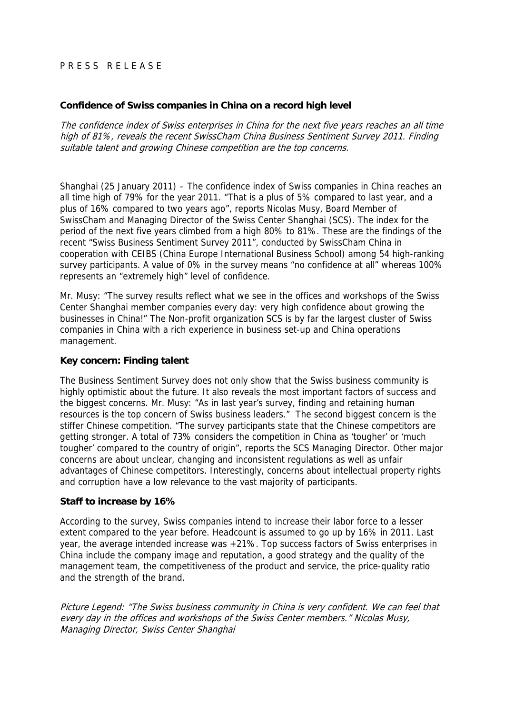# PRESS RELEASE

#### **Confidence of Swiss companies in China on a record high level**

The confidence index of Swiss enterprises in China for the next five years reaches an all time high of 81%, reveals the recent SwissCham China Business Sentiment Survey 2011. Finding suitable talent and growing Chinese competition are the top concerns.

Shanghai (25 January 2011) – The confidence index of Swiss companies in China reaches an all time high of 79% for the year 2011. "That is a plus of 5% compared to last year, and a plus of 16% compared to two years ago", reports Nicolas Musy, Board Member of SwissCham and Managing Director of the Swiss Center Shanghai (SCS). The index for the period of the next five years climbed from a high 80% to 81%. These are the findings of the recent "Swiss Business Sentiment Survey 2011", conducted by SwissCham China in cooperation with CEIBS (China Europe International Business School) among 54 high-ranking survey participants. A value of 0% in the survey means "no confidence at all" whereas 100% represents an "extremely high" level of confidence.

Mr. Musy: "The survey results reflect what we see in the offices and workshops of the Swiss Center Shanghai member companies every day: very high confidence about growing the businesses in China!" The Non-profit organization SCS is by far the largest cluster of Swiss companies in China with a rich experience in business set-up and China operations management.

## **Key concern: Finding talent**

The Business Sentiment Survey does not only show that the Swiss business community is highly optimistic about the future. It also reveals the most important factors of success and the biggest concerns. Mr. Musy: "As in last year's survey, finding and retaining human resources is the top concern of Swiss business leaders." The second biggest concern is the stiffer Chinese competition. "The survey participants state that the Chinese competitors are getting stronger. A total of 73% considers the competition in China as 'tougher' or 'much tougher' compared to the country of origin", reports the SCS Managing Director. Other major concerns are about unclear, changing and inconsistent regulations as well as unfair advantages of Chinese competitors. Interestingly, concerns about intellectual property rights and corruption have a low relevance to the vast majority of participants.

## **Staff to increase by 16%**

According to the survey, Swiss companies intend to increase their labor force to a lesser extent compared to the year before. Headcount is assumed to go up by 16% in 2011. Last year, the average intended increase was +21%. Top success factors of Swiss enterprises in China include the company image and reputation, a good strategy and the quality of the management team, the competitiveness of the product and service, the price-quality ratio and the strength of the brand.

Picture Legend: "The Swiss business community in China is very confident. We can feel that every day in the offices and workshops of the Swiss Center members." Nicolas Musy, Managing Director, Swiss Center Shanghai